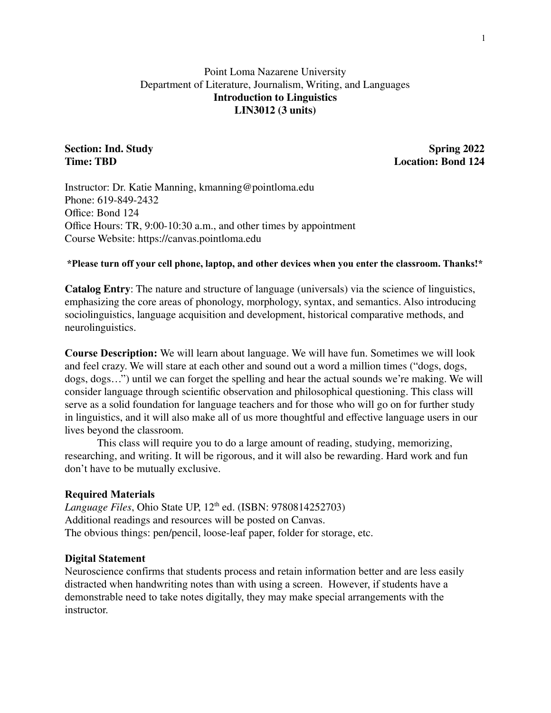# Point Loma Nazarene University Department of Literature, Journalism, Writing, and Languages **Introduction to Linguistics LIN3012 (3 units)**

**Section: Ind. Study Spring 2022 Time: TBD Location: Bond 124**

Instructor: Dr. Katie Manning, kmanning@pointloma.edu Phone: 619-849-2432 Office: Bond 124 Office Hours: TR, 9:00-10:30 a.m., and other times by appointment Course Website: https://canvas.pointloma.edu

#### **\*Please turn off your cell phone, laptop, and other devices when you enter the classroom. Thanks!\***

**Catalog Entry**: The nature and structure of language (universals) via the science of linguistics, emphasizing the core areas of phonology, morphology, syntax, and semantics. Also introducing sociolinguistics, language acquisition and development, historical comparative methods, and neurolinguistics.

**Course Description:** We will learn about language. We will have fun. Sometimes we will look and feel crazy. We will stare at each other and sound out a word a million times ("dogs, dogs, dogs, dogs…") until we can forget the spelling and hear the actual sounds we're making. We will consider language through scientific observation and philosophical questioning. This class will serve as a solid foundation for language teachers and for those who will go on for further study in linguistics, and it will also make all of us more thoughtful and effective language users in our lives beyond the classroom.

This class will require you to do a large amount of reading, studying, memorizing, researching, and writing. It will be rigorous, and it will also be rewarding. Hard work and fun don't have to be mutually exclusive.

### **Required Materials**

*Language Files*, Ohio State UP, 12 th ed. (ISBN: 9780814252703) Additional readings and resources will be posted on Canvas. The obvious things: pen/pencil, loose-leaf paper, folder for storage, etc.

#### **Digital Statement**

Neuroscience confirms that students process and retain information better and are less easily distracted when handwriting notes than with using a screen. However, if students have a demonstrable need to take notes digitally, they may make special arrangements with the instructor.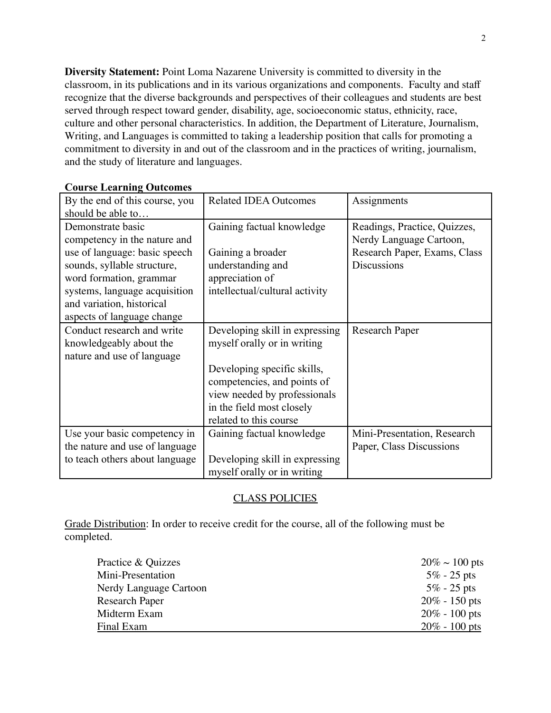**Diversity Statement:** Point Loma Nazarene University is committed to diversity in the classroom, in its publications and in its various organizations and components. Faculty and staff recognize that the diverse backgrounds and perspectives of their colleagues and students are best served through respect toward gender, disability, age, socioeconomic status, ethnicity, race, culture and other personal characteristics. In addition, the Department of Literature, Journalism, Writing, and Languages is committed to taking a leadership position that calls for promoting a commitment to diversity in and out of the classroom and in the practices of writing, journalism, and the study of literature and languages.

| By the end of this course, you<br>should be able to | <b>Related IDEA Outcomes</b>   | Assignments                  |
|-----------------------------------------------------|--------------------------------|------------------------------|
|                                                     |                                |                              |
| Demonstrate basic                                   | Gaining factual knowledge      | Readings, Practice, Quizzes, |
| competency in the nature and                        |                                | Nerdy Language Cartoon,      |
| use of language: basic speech                       | Gaining a broader              | Research Paper, Exams, Class |
| sounds, syllable structure,                         | understanding and              | <b>Discussions</b>           |
| word formation, grammar                             | appreciation of                |                              |
| systems, language acquisition                       | intellectual/cultural activity |                              |
| and variation, historical                           |                                |                              |
| aspects of language change                          |                                |                              |
| Conduct research and write                          | Developing skill in expressing | Research Paper               |
| knowledgeably about the                             | myself orally or in writing    |                              |
| nature and use of language                          |                                |                              |
|                                                     | Developing specific skills,    |                              |
|                                                     | competencies, and points of    |                              |
|                                                     | view needed by professionals   |                              |
|                                                     | in the field most closely      |                              |
|                                                     | related to this course         |                              |
| Use your basic competency in                        | Gaining factual knowledge      | Mini-Presentation, Research  |
| the nature and use of language                      |                                | Paper, Class Discussions     |
| to teach others about language                      | Developing skill in expressing |                              |
|                                                     | myself orally or in writing    |                              |

# **Course Learning Outcomes**

# CLASS POLICIES

Grade Distribution: In order to receive credit for the course, all of the following must be completed.

| Practice & Quizzes     | $20\% \sim 100$ pts |
|------------------------|---------------------|
| Mini-Presentation      | $5\%$ - 25 pts      |
| Nerdy Language Cartoon | $5\%$ - 25 pts      |
| <b>Research Paper</b>  | $20\% - 150$ pts    |
| Midterm Exam           | $20\% - 100$ pts    |
| Final Exam             | $20\% - 100$ pts    |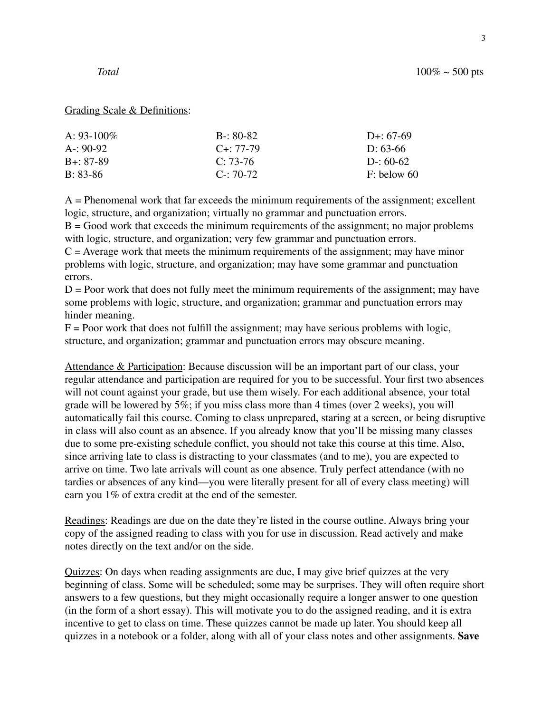#### Grading Scale & Definitions:

| A: $93-100\%$ | $B - 80 - 82$   | D <sub>+</sub> : $67-69$ |
|---------------|-----------------|--------------------------|
| $A: 90-92$    | $C_{+}$ : 77-79 | D: $63-66$               |
| $B + 87 - 89$ | $C: 73-76$      | $D: 60-62$               |
| $B: 83-86$    | $C - 70 - 72$   | $F:$ below 60            |

A = Phenomenal work that far exceeds the minimum requirements of the assignment; excellent logic, structure, and organization; virtually no grammar and punctuation errors.

 $B = Good$  work that exceeds the minimum requirements of the assignment; no major problems with logic, structure, and organization; very few grammar and punctuation errors.

 $C =$  Average work that meets the minimum requirements of the assignment; may have minor problems with logic, structure, and organization; may have some grammar and punctuation errors.

 $D =$  Poor work that does not fully meet the minimum requirements of the assignment; may have some problems with logic, structure, and organization; grammar and punctuation errors may hinder meaning.

 $F =$  Poor work that does not fulfill the assignment; may have serious problems with logic, structure, and organization; grammar and punctuation errors may obscure meaning.

Attendance & Participation: Because discussion will be an important part of our class, your regular attendance and participation are required for you to be successful. Your first two absences will not count against your grade, but use them wisely. For each additional absence, your total grade will be lowered by 5%; if you miss class more than 4 times (over 2 weeks), you will automatically fail this course. Coming to class unprepared, staring at a screen, or being disruptive in class will also count as an absence. If you already know that you'll be missing many classes due to some pre-existing schedule conflict, you should not take this course at this time. Also, since arriving late to class is distracting to your classmates (and to me), you are expected to arrive on time. Two late arrivals will count as one absence. Truly perfect attendance (with no tardies or absences of any kind—you were literally present for all of every class meeting) will earn you 1% of extra credit at the end of the semester.

Readings: Readings are due on the date they're listed in the course outline. Always bring your copy of the assigned reading to class with you for use in discussion. Read actively and make notes directly on the text and/or on the side.

Quizzes: On days when reading assignments are due, I may give brief quizzes at the very beginning of class. Some will be scheduled; some may be surprises. They will often require short answers to a few questions, but they might occasionally require a longer answer to one question (in the form of a short essay). This will motivate you to do the assigned reading, and it is extra incentive to get to class on time. These quizzes cannot be made up later. You should keep all quizzes in a notebook or a folder, along with all of your class notes and other assignments. **Save**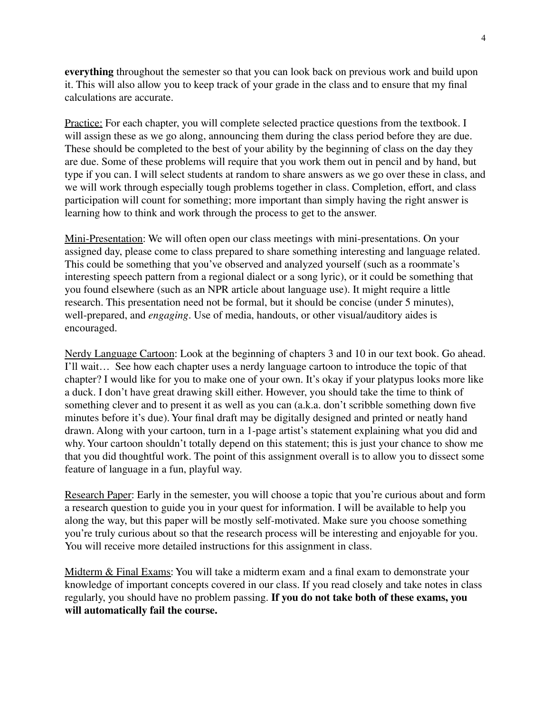**everything** throughout the semester so that you can look back on previous work and build upon it. This will also allow you to keep track of your grade in the class and to ensure that my final calculations are accurate.

Practice: For each chapter, you will complete selected practice questions from the textbook. I will assign these as we go along, announcing them during the class period before they are due. These should be completed to the best of your ability by the beginning of class on the day they are due. Some of these problems will require that you work them out in pencil and by hand, but type if you can. I will select students at random to share answers as we go over these in class, and we will work through especially tough problems together in class. Completion, effort, and class participation will count for something; more important than simply having the right answer is learning how to think and work through the process to get to the answer.

Mini-Presentation: We will often open our class meetings with mini-presentations. On your assigned day, please come to class prepared to share something interesting and language related. This could be something that you've observed and analyzed yourself (such as a roommate's interesting speech pattern from a regional dialect or a song lyric), or it could be something that you found elsewhere (such as an NPR article about language use). It might require a little research. This presentation need not be formal, but it should be concise (under 5 minutes), well-prepared, and *engaging*. Use of media, handouts, or other visual/auditory aides is encouraged.

Nerdy Language Cartoon: Look at the beginning of chapters 3 and 10 in our text book. Go ahead. I'll wait… See how each chapter uses a nerdy language cartoon to introduce the topic of that chapter? I would like for you to make one of your own. It's okay if your platypus looks more like a duck. I don't have great drawing skill either. However, you should take the time to think of something clever and to present it as well as you can (a.k.a. don't scribble something down five minutes before it's due). Your final draft may be digitally designed and printed or neatly hand drawn. Along with your cartoon, turn in a 1-page artist's statement explaining what you did and why. Your cartoon shouldn't totally depend on this statement; this is just your chance to show me that you did thoughtful work. The point of this assignment overall is to allow you to dissect some feature of language in a fun, playful way.

Research Paper: Early in the semester, you will choose a topic that you're curious about and form a research question to guide you in your quest for information. I will be available to help you along the way, but this paper will be mostly self-motivated. Make sure you choose something you're truly curious about so that the research process will be interesting and enjoyable for you. You will receive more detailed instructions for this assignment in class.

Midterm & Final Exams: You will take a midterm exam and a final exam to demonstrate your knowledge of important concepts covered in our class. If you read closely and take notes in class regularly, you should have no problem passing. **If you do not take both of these exams, you will automatically fail the course.**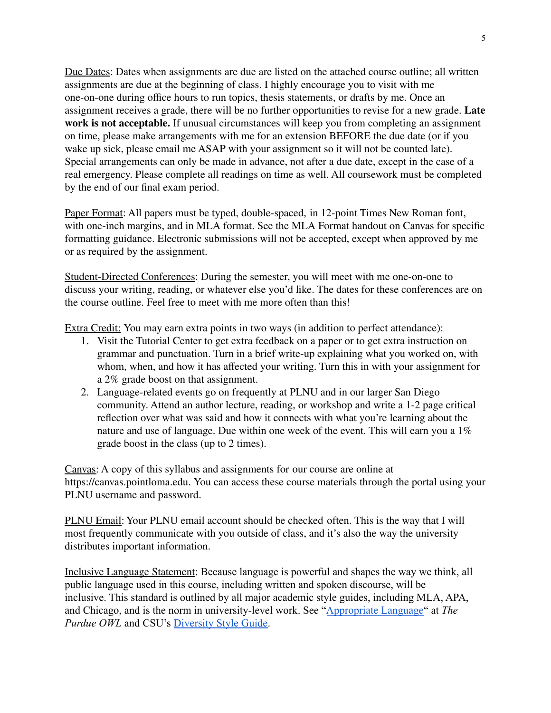Due Dates: Dates when assignments are due are listed on the attached course outline; all written assignments are due at the beginning of class. I highly encourage you to visit with me one-on-one during office hours to run topics, thesis statements, or drafts by me. Once an assignment receives a grade, there will be no further opportunities to revise for a new grade. **Late work is not acceptable.** If unusual circumstances will keep you from completing an assignment on time, please make arrangements with me for an extension BEFORE the due date (or if you wake up sick, please email me ASAP with your assignment so it will not be counted late). Special arrangements can only be made in advance, not after a due date, except in the case of a real emergency. Please complete all readings on time as well. All coursework must be completed by the end of our final exam period.

Paper Format: All papers must be typed, double-spaced, in 12-point Times New Roman font, with one-inch margins, and in MLA format. See the MLA Format handout on Canvas for specific formatting guidance. Electronic submissions will not be accepted, except when approved by me or as required by the assignment.

Student-Directed Conferences: During the semester, you will meet with me one-on-one to discuss your writing, reading, or whatever else you'd like. The dates for these conferences are on the course outline. Feel free to meet with me more often than this!

Extra Credit: You may earn extra points in two ways (in addition to perfect attendance):

- 1. Visit the Tutorial Center to get extra feedback on a paper or to get extra instruction on grammar and punctuation. Turn in a brief write-up explaining what you worked on, with whom, when, and how it has affected your writing. Turn this in with your assignment for a 2% grade boost on that assignment.
- 2. Language-related events go on frequently at PLNU and in our larger San Diego community. Attend an author lecture, reading, or workshop and write a 1-2 page critical reflection over what was said and how it connects with what you're learning about the nature and use of language. Due within one week of the event. This will earn you a 1% grade boost in the class (up to 2 times).

Canvas: A copy of this syllabus and assignments for our course are online at https://canvas.pointloma.edu. You can access these course materials through the portal using your PLNU username and password.

PLNU Email: Your PLNU email account should be checked often. This is the way that I will most frequently communicate with you outside of class, and it's also the way the university distributes important information.

Inclusive Language Statement: Because language is powerful and shapes the way we think, all public language used in this course, including written and spoken discourse, will be inclusive. This standard is outlined by all major academic style guides, including MLA, APA, and Chicago, and is the norm in university-level work. See "[Appropriate Language"](https://owl.purdue.edu/owl/general_writing/academic_writing/using_appropriate_language/index.html) at *The Purdue OWL* and CSU's [Diversity Style Guide.](https://www2.calstate.edu/csu-system/csu-branding-standards/editorial-style-guide/Pages/diversity-style-guide.aspx)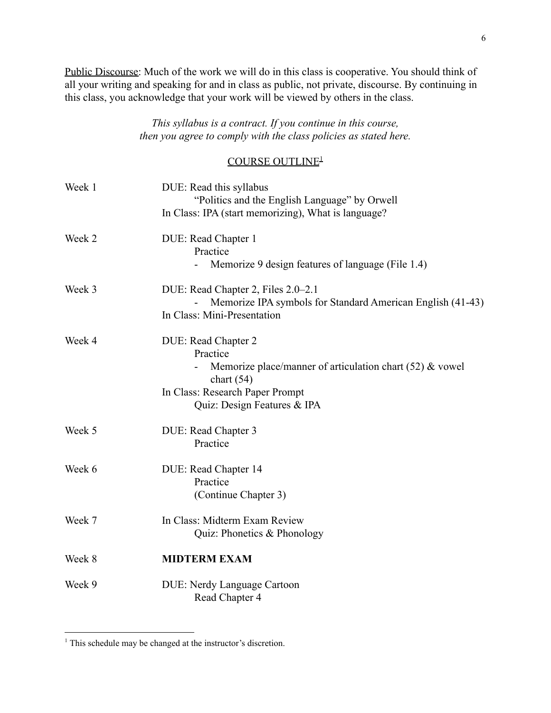Public Discourse: Much of the work we will do in this class is cooperative. You should think of all your writing and speaking for and in class as public, not private, discourse. By continuing in this class, you acknowledge that your work will be viewed by others in the class.

# *This syllabus is a contract. If you continue in this course, then you agree to comply with the class policies as stated here.*

# COURSE OUTLINE<sup>1</sup>

| Week 1 | DUE: Read this syllabus<br>"Politics and the English Language" by Orwell   |
|--------|----------------------------------------------------------------------------|
|        | In Class: IPA (start memorizing), What is language?                        |
| Week 2 | DUE: Read Chapter 1                                                        |
|        | Practice<br>Memorize 9 design features of language (File 1.4)              |
| Week 3 | DUE: Read Chapter 2, Files 2.0–2.1                                         |
|        | Memorize IPA symbols for Standard American English (41-43)                 |
|        | In Class: Mini-Presentation                                                |
| Week 4 | DUE: Read Chapter 2                                                        |
|        | Practice                                                                   |
|        | Memorize place/manner of articulation chart $(52)$ & vowel<br>chart $(54)$ |
|        | In Class: Research Paper Prompt                                            |
|        | Quiz: Design Features & IPA                                                |
| Week 5 | DUE: Read Chapter 3                                                        |
|        | Practice                                                                   |
| Week 6 | DUE: Read Chapter 14                                                       |
|        | Practice                                                                   |
|        | (Continue Chapter 3)                                                       |
| Week 7 | In Class: Midterm Exam Review                                              |
|        | Quiz: Phonetics & Phonology                                                |
| Week 8 | <b>MIDTERM EXAM</b>                                                        |
| Week 9 | <b>DUE: Nerdy Language Cartoon</b><br>Read Chapter 4                       |
|        |                                                                            |

<sup>&</sup>lt;sup>1</sup> This schedule may be changed at the instructor's discretion.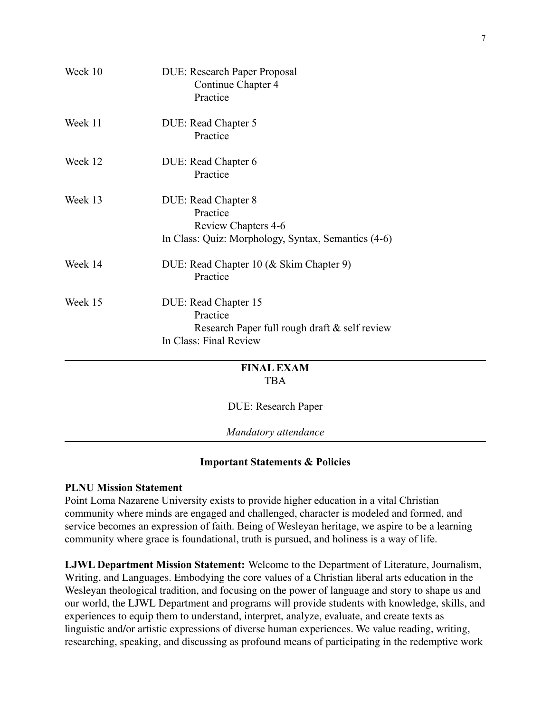|         | TD A                                                                    |
|---------|-------------------------------------------------------------------------|
|         | <b>FINAL EXAM</b>                                                       |
|         | Research Paper full rough draft & self review<br>In Class: Final Review |
|         | Practice                                                                |
| Week 15 | DUE: Read Chapter 15                                                    |
| Week 14 | DUE: Read Chapter 10 (& Skim Chapter 9)<br>Practice                     |
|         | In Class: Quiz: Morphology, Syntax, Semantics (4-6)                     |
|         | <b>Review Chapters 4-6</b>                                              |
| Week 13 | DUE: Read Chapter 8<br>Practice                                         |
|         |                                                                         |
|         | DUE: Read Chapter 6<br>Practice                                         |
| Week 12 |                                                                         |
|         | Practice                                                                |
| Week 11 | DUE: Read Chapter 5                                                     |
|         | Practice                                                                |
| Week 10 | <b>DUE: Research Paper Proposal</b><br>Continue Chapter 4               |

# TBA

DUE: Research Paper

*Mandatory attendance*

# **Important Statements & Policies**

# **PLNU Mission Statement**

Point Loma Nazarene University exists to provide higher education in a vital Christian community where minds are engaged and challenged, character is modeled and formed, and service becomes an expression of faith. Being of Wesleyan heritage, we aspire to be a learning community where grace is foundational, truth is pursued, and holiness is a way of life.

**LJWL Department Mission Statement:** Welcome to the Department of Literature, Journalism, Writing, and Languages. Embodying the core values of a Christian liberal arts education in the Wesleyan theological tradition, and focusing on the power of language and story to shape us and our world, the LJWL Department and programs will provide students with knowledge, skills, and experiences to equip them to understand, interpret, analyze, evaluate, and create texts as linguistic and/or artistic expressions of diverse human experiences. We value reading, writing, researching, speaking, and discussing as profound means of participating in the redemptive work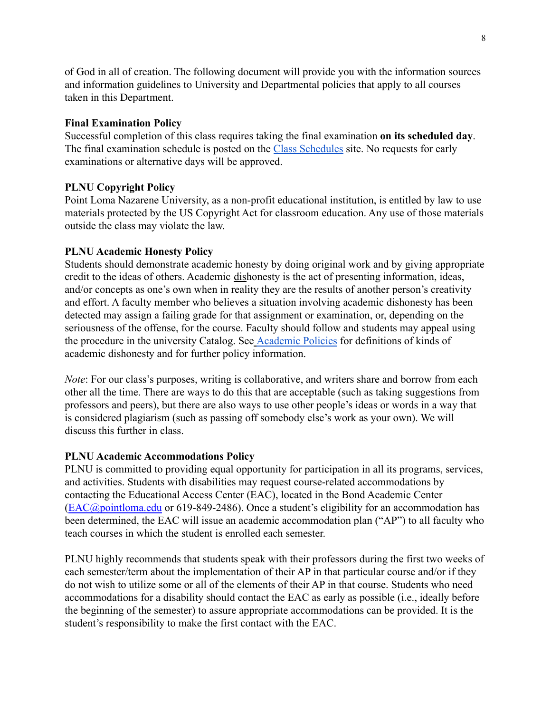of God in all of creation. The following document will provide you with the information sources and information guidelines to University and Departmental policies that apply to all courses taken in this Department.

# **Final Examination Policy**

Successful completion of this class requires taking the final examination **on its scheduled day**. The final examination schedule is posted on the Class [Schedules](http://www.pointloma.edu/experience/academics/class-schedules) site. No requests for early examinations or alternative days will be approved.

# **PLNU Copyright Policy**

Point Loma Nazarene University, as a non-profit educational institution, is entitled by law to use materials protected by the US Copyright Act for classroom education. Any use of those materials outside the class may violate the law.

# **PLNU Academic Honesty Policy**

Students should demonstrate academic honesty by doing original work and by giving appropriate credit to the ideas of others. Academic dishonesty is the act of presenting information, ideas, and/or concepts as one's own when in reality they are the results of another person's creativity and effort. A faculty member who believes a situation involving academic dishonesty has been detected may assign a failing grade for that assignment or examination, or, depending on the seriousness of the offense, for the course. Faculty should follow and students may appeal using the procedure in the university Catalog. See [Academic](http://catalog.pointloma.edu/content.php?catoid=18&navoid=1278) Policies for definitions of kinds of academic dishonesty and for further policy information.

*Note*: For our class's purposes, writing is collaborative, and writers share and borrow from each other all the time. There are ways to do this that are acceptable (such as taking suggestions from professors and peers), but there are also ways to use other people's ideas or words in a way that is considered plagiarism (such as passing off somebody else's work as your own). We will discuss this further in class.

### **PLNU Academic Accommodations Policy**

PLNU is committed to providing equal opportunity for participation in all its programs, services, and activities. Students with disabilities may request course-related accommodations by contacting the Educational Access Center (EAC), located in the Bond Academic Center ([EAC@pointloma.edu](mailto:EAC@pointloma.edu) or 619-849-2486). Once a student's eligibility for an accommodation has been determined, the EAC will issue an academic accommodation plan ("AP") to all faculty who teach courses in which the student is enrolled each semester.

PLNU highly recommends that students speak with their professors during the first two weeks of each semester/term about the implementation of their AP in that particular course and/or if they do not wish to utilize some or all of the elements of their AP in that course. Students who need accommodations for a disability should contact the EAC as early as possible (i.e., ideally before the beginning of the semester) to assure appropriate accommodations can be provided. It is the student's responsibility to make the first contact with the EAC.